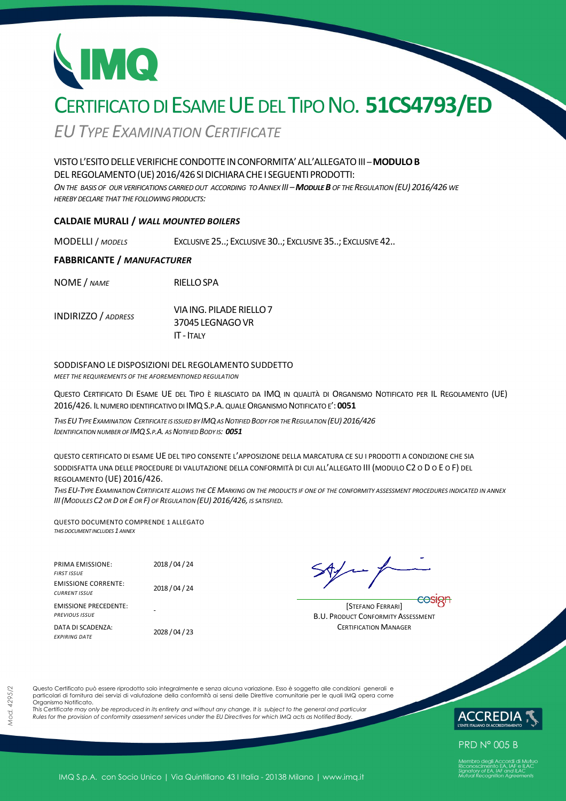# CERTIFICATO DI ESAME UE DEL TIPO NO. **51CS4793/ED**

*EUTYPE EXAMINATION CERTIFICATE*

### VISTOL'ESITODELLEVERIFICHECONDOTTE INCONFORMITA'ALL'ALLEGATOIII *–***MODULOB** DEL REGOLAMENTO (UE) 2016/426 SI DICHIARA CHE I SEGUENTI PRODOTTI:

*ON THE BASIS OF OUR VERIFICATIONS CARRIED OUT ACCORDING TO ANNEX III –MODULE B OF THE REGULATION (EU) 2016/426 WE HEREBY DECLARE THAT THE FOLLOWING PRODUCTS:*

### **CALDAIE MURALI /** *WALL MOUNTED BOILERS*

MODELLI / *MODELS* EXCLUSIVE 25..; EXCLUSIVE 30..; EXCLUSIVE 35..; EXCLUSIVE 42..

### **FABBRICANTE /** *MANUFACTURER*

NOME / *NAME* RIELLOSPA

| <b>INDIRIZZO</b> / ADDRESS | VIA ING. PILADE RIELLO 7 |
|----------------------------|--------------------------|
|                            | 37045 LEGNAGO VR         |
|                            | $IT - ITAIY$             |

### SODDISFANO LE DISPOSIZIONI DEL REGOLAMENTO SUDDETTO

*MEET THE REQUIREMENTS OF THE AFOREMENTIONED REGULATION*

QUESTO CERTIFICATO DI ESAME UE DEL TIPO È RILASCIATO DA IMQ IN QUALITÀ DI ORGANISMO NOTIFICATO PER IL REGOLAMENTO (UE) 2016/426. IL NUMERO IDENTIFICATIVO DI IMQS.P.A. QUALE ORGANISMO NOTIFICATO E': **0051** 

THIS EU TYPE EXAMINATION CERTIFICATE IS ISSUED BY IMQ AS NOTIFIED BODY FOR THE REGULATION (EU) 2016/426 *IDENTIFICATION NUMBER OF IMQS.P.A. AS NOTIFIED BODY IS: 0051*

QUESTO CERTIFICATO DI ESAME UE DEL TIPO CONSENTE L'APPOSIZIONE DELLA MARCATURA CE SU I PRODOTTI A CONDIZIONE CHE SIA SODDISFATTA UNA DELLE PROCEDURE DI VALUTAZIONE DELLA CONFORMITÀ DI CUI ALL'ALLEGATO III (MODULO C2 O D O E O F) DEL REGOLAMENTO (UE) 2016/426.

*THIS EU-TYPE EXAMINATION CERTIFICATE ALLOWS THE CE MARKING ON THE PRODUCTS IF ONE OF THE CONFORMITY ASSESSMENT PROCEDURES INDICATED IN ANNEX III(MODULES C2 OR D OR E OR F) OF REGULATION (EU) 2016/426, IS SATISFIED.* 

QUESTO DOCUMENTO COMPRENDE 1 ALLEGATO *THIS DOCUMENT INCLUDES 1 ANNEX*

| <b>PRIMA EMISSIONE:</b>                               | 2018 / 04 / 24 |
|-------------------------------------------------------|----------------|
| <b>FIRST ISSUE</b>                                    |                |
| <b>EMISSIONE CORRENTE:</b><br><b>CURRENT ISSUE</b>    | 2018 / 04 / 24 |
| <b>EMISSIONE PRECEDENTE:</b><br><b>PREVIOUS ISSUE</b> |                |
| DATA DI SCADENZA:<br><b>FXPIRING DATE</b>             | 2028 / 04 / 23 |

[STEFANO FERRARI] B.U. PRODUCT CONFORMITY ASSESSMENT **CERTIFICATION MANAGER** 

Questo Certificato può essere riprodotto solo integralmente e senza alcuna variazione. Esso è soggetto alle condizioni generali e particolari di fornitura dei servizi di valutazione della conformità ai sensi delle Direttive comunitarie per le quali IMQ opera come Organismo Notificato.

*This Certificate may only be reproduced in its entirety and without any change. It is subject to the general and particular Rules for the provision of conformity assessment services under the EU Directives for which IMQ acts as Notified Body.* 



**PRD N° 005 B**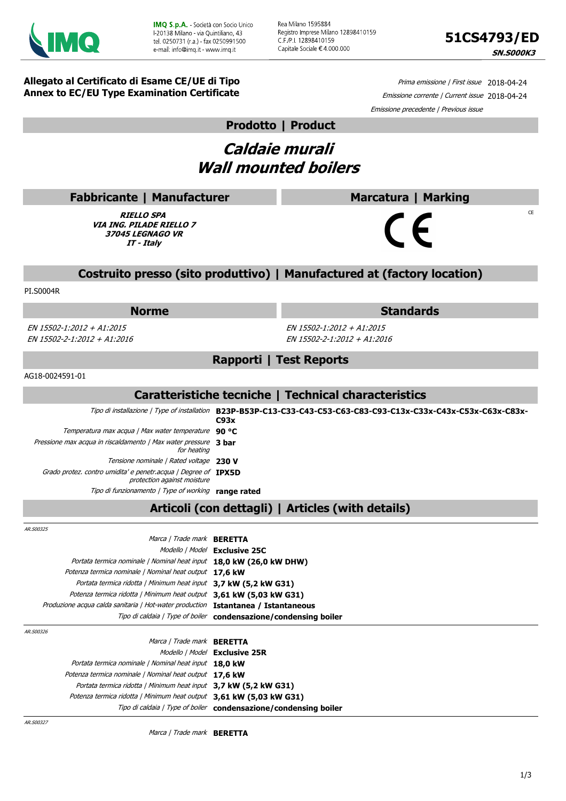



 $CF$ 

**Allegato al Certificato di Esame CE/UE di Tipo Annex to EC/EU Type Examination Certificate**

Prima emissione | First issue 2018-04-24 Emissione corrente | Current issue 2018-04-24 Emissione precedente | Previous issue

### **Prodotto | Product**

## **Caldaie murali Wall mounted boilers**

### **Fabbricante | Manufacturer**

**RIELLO SPA VIA ING. PILADE RIELLO 7 37045 LEGNAGO VR IT - Italy**

### **Costruito presso (sito produttivo) | Manufactured at (factory location)**

PI.S0004R

EN 15502-1:2012 + A1:2015 EN 15502-2-1:2012 + A1:2016

**Norme Standards**

**Marcatura | Marking**

EN 15502-1:2012 + A1:2015 EN 15502-2-1:2012 + A1:2016

### **Rapporti | Test Reports**

AG18-0024591-01

### **Caratteristiche tecniche | Technical characteristics**

Tipo di installazione | Type of installation **B23P-B53P-C13-C33-C43-C53-C63-C83-C93-C13x-C33x-C43x-C53x-C63x-C83x-C93x** Temperatura max acqua | Max water temperature **90 °C** Pressione max acqua in riscaldamento | Max water pressure **3 bar** for heating Tensione nominale | Rated voltage **230 V** Grado protez. contro umidita' e penetr.acqua | Degree of **IPX5D** protection against moisture Tipo di funzionamento | Type of working **range rated**

### **Articoli (con dettagli) | Articles (with details)**

AR.S0032

| ້                                                                                 |                                                                  |
|-----------------------------------------------------------------------------------|------------------------------------------------------------------|
| Marca / Trade mark <b>BERETTA</b>                                                 |                                                                  |
|                                                                                   | Modello   Model Exclusive 25C                                    |
| Portata termica nominale / Nominal heat input 18,0 kW (26,0 kW DHW)               |                                                                  |
| Potenza termica nominale   Nominal heat output 17.6 kW                            |                                                                  |
| Portata termica ridotta   Minimum heat input 3,7 kW (5,2 kW G31)                  |                                                                  |
| Potenza termica ridotta   Minimum heat output 3,61 kW (5,03 kW G31)               |                                                                  |
| Produzione acqua calda sanitaria / Hot-water production Istantanea / Istantaneous |                                                                  |
|                                                                                   | Tipo di caldaia / Type of boiler condensazione/condensing boiler |
|                                                                                   |                                                                  |

| AR.S00326                                                           |                                                                  |
|---------------------------------------------------------------------|------------------------------------------------------------------|
| Marca / Trade mark <b>BERETTA</b>                                   |                                                                  |
|                                                                     | Modello   Model Exclusive 25R                                    |
| Portata termica nominale   Nominal heat input 18.0 kW               |                                                                  |
| Potenza termica nominale   Nominal heat output 17.6 kW              |                                                                  |
| Portata termica ridotta   Minimum heat input 3,7 kW (5,2 kW G31)    |                                                                  |
| Potenza termica ridotta   Minimum heat output 3,61 kW (5,03 kW G31) |                                                                  |
|                                                                     | Tipo di caldaia / Type of boiler condensazione/condensing boiler |
|                                                                     |                                                                  |

AR.S00327

Marca | Trade mark **BERETTA**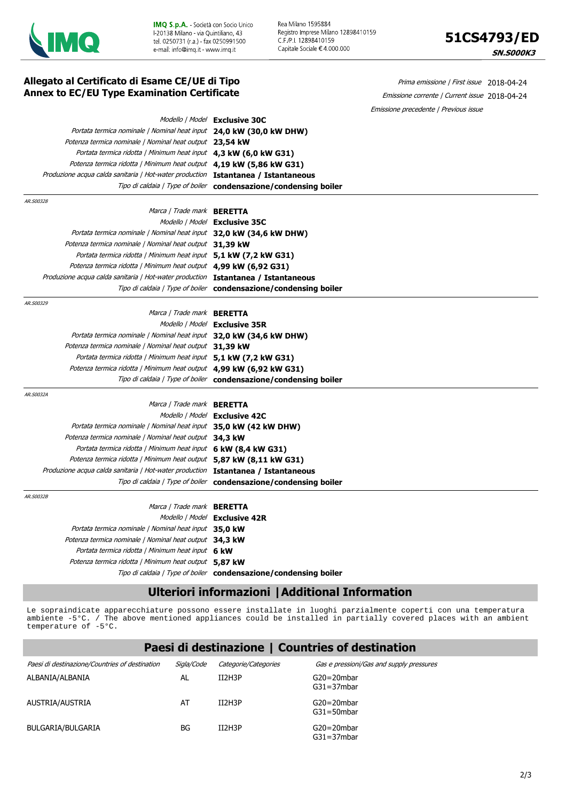

Rea Milano 1595884 Registro Imprese Milano 12898410159 C.F./P.I. 12898410159 Capitale Sociale €4 000 000



| Allegato al Certificato di Esame CE/UE di Tipo<br><b>Annex to EC/EU Type Examination Certificate</b> |                                                                           | Prima emissione   First issue 2018-04-24      |
|------------------------------------------------------------------------------------------------------|---------------------------------------------------------------------------|-----------------------------------------------|
|                                                                                                      |                                                                           | Emissione corrente   Current issue 2018-04-24 |
|                                                                                                      |                                                                           | Emissione precedente   Previous issue         |
|                                                                                                      | Modello   Model Exclusive 30C                                             |                                               |
| Portata termica nominale   Nominal heat input 24,0 kW (30,0 kW DHW)                                  |                                                                           |                                               |
| Potenza termica nominale   Nominal heat output 23,54 kW                                              |                                                                           |                                               |
| Portata termica ridotta   Minimum heat input 4,3 kW (6,0 kW G31)                                     |                                                                           |                                               |
| Potenza termica ridotta   Minimum heat output 4,19 kW (5,86 kW G31)                                  |                                                                           |                                               |
| Produzione acqua calda sanitaria   Hot-water production Istantanea / Istantaneous                    |                                                                           |                                               |
|                                                                                                      | Tipo di caldaia   Type of boiler <b>condensazione / condensing boiler</b> |                                               |
| AR.S00328                                                                                            |                                                                           |                                               |
| Marca   Trade mark BERETTA                                                                           |                                                                           |                                               |
|                                                                                                      | Modello   Model Exclusive 35C                                             |                                               |
| Portata termica nominale   Nominal heat input 32,0 kW (34,6 kW DHW)                                  |                                                                           |                                               |
| Potenza termica nominale   Nominal heat output 31,39 kW                                              |                                                                           |                                               |
| Portata termica ridotta   Minimum heat input 5,1 kW (7,2 kW G31)                                     |                                                                           |                                               |
| Potenza termica ridotta   Minimum heat output 4,99 kW (6,92 G31)                                     |                                                                           |                                               |
| Produzione acqua calda sanitaria   Hot-water production Istantanea / Istantaneous                    |                                                                           |                                               |
|                                                                                                      | Tipo di caldaia / Type of boiler condensazione/condensing boiler          |                                               |
| AR.S00329                                                                                            |                                                                           |                                               |
| Marca / Trade mark <b>BERETTA</b>                                                                    |                                                                           |                                               |
|                                                                                                      | Modello   Model Exclusive 35R                                             |                                               |
| Portata termica nominale   Nominal heat input 32,0 kW (34,6 kW DHW)                                  |                                                                           |                                               |
| Potenza termica nominale   Nominal heat output 31,39 kW                                              |                                                                           |                                               |
| Portata termica ridotta   Minimum heat input 5,1 kW (7,2 kW G31)                                     |                                                                           |                                               |
| Potenza termica ridotta   Minimum heat output 4,99 kW (6,92 kW G31)                                  |                                                                           |                                               |
|                                                                                                      | Tipo di caldaia / Type of boiler condensazione/condensing boiler          |                                               |
| AR.S0032A                                                                                            |                                                                           |                                               |
| Marca / Trade mark <b>BERETTA</b>                                                                    |                                                                           |                                               |
|                                                                                                      | Modello   Model Exclusive 42C                                             |                                               |
| Portata termica nominale   Nominal heat input 35,0 kW (42 kW DHW)                                    |                                                                           |                                               |
| Potenza termica nominale   Nominal heat output 34,3 kW                                               |                                                                           |                                               |
| Portata termica ridotta   Minimum heat input 6 kW (8,4 kW G31)                                       |                                                                           |                                               |
| Potenza termica ridotta   Minimum heat output 5,87 kW (8,11 kW G31)                                  |                                                                           |                                               |
| Produzione acqua calda sanitaria   Hot-water production Istantanea / Istantaneous                    |                                                                           |                                               |
|                                                                                                      | Tipo di caldaia / Type of boiler <b>condensazione/condensing boiler</b>   |                                               |
| AR.S0032B                                                                                            |                                                                           |                                               |
| Marca / Trade mark <b>BERETTA</b>                                                                    |                                                                           |                                               |
|                                                                                                      | Modello   Model Exclusive 42R                                             |                                               |
| Portata termica nominale   Nominal heat input 35,0 kW                                                |                                                                           |                                               |
| Potenza termica nominale   Nominal heat output 34,3 kW                                               |                                                                           |                                               |
| Portata termica ridotta   Minimum heat input 6 kW                                                    |                                                                           |                                               |
| Potenza termica ridotta   Minimum heat output 5.87 kW                                                |                                                                           |                                               |

### Tipo di caldaia | Type of boiler **condensazione/condensing boiler**

### **Ulteriori informazioni |Additional Information**

Le sopraindicate apparecchiature possono essere installate in luoghi parzialmente coperti con una temperatura ambiente -5°C. / The above mentioned appliances could be installed in partially covered places with an ambient temperature of -5°C.

**Paesi di destinazione | Countries of destination**

|                                                |            |                      | Paesi di destinazione   Countries of destination |
|------------------------------------------------|------------|----------------------|--------------------------------------------------|
| Paesi di destinazione/Countries of destination | Siala/Code | Categorie/Categories | Gas e pressioni/Gas and supply pressures         |
| ALBANIA/ALBANIA                                | AL         | II2H3P               | $G20 = 20$ mbar<br>$G31 = 37mbar$                |
| AUSTRIA/AUSTRIA                                | AT         | II2H3P               | $G20 = 20$ mbar<br>$G31 = 50$ mbar               |
| BULGARIA/BULGARIA                              | BG         | II2H3P               | $G20 = 20$ mbar<br>$G31 = 37mbar$                |